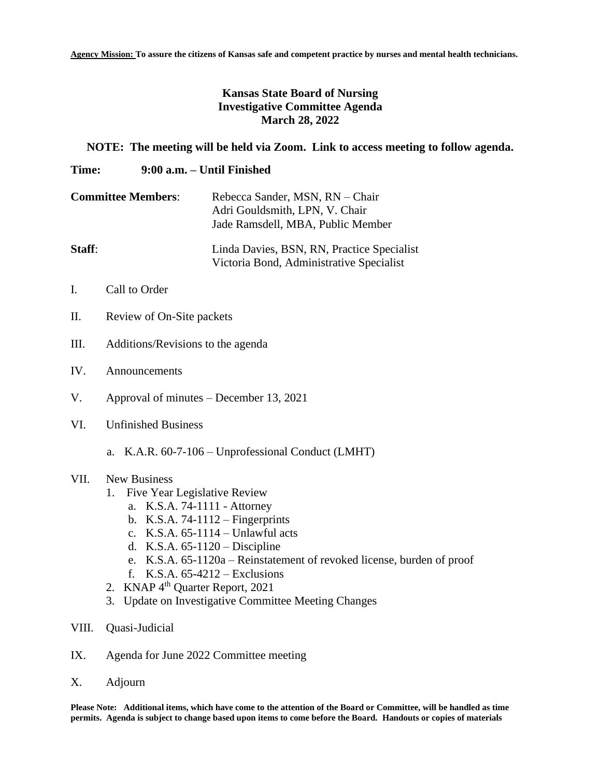**Agency Mission: To assure the citizens of Kansas safe and competent practice by nurses and mental health technicians.**

## **Kansas State Board of Nursing Investigative Committee Agenda March 28, 2022**

## **NOTE: The meeting will be held via Zoom. Link to access meeting to follow agenda.**

## **Time: 9:00 a.m. – Until Finished**

| <b>Committee Members:</b> | Rebecca Sander, MSN, RN - Chair<br>Adri Gouldsmith, LPN, V. Chair<br>Jade Ramsdell, MBA, Public Member |
|---------------------------|--------------------------------------------------------------------------------------------------------|
| Staff:                    | Linda Davies, BSN, RN, Practice Specialist<br>Victoria Bond, Administrative Specialist                 |

- I. Call to Order
- II. Review of On-Site packets
- III. Additions/Revisions to the agenda
- IV. Announcements
- V. Approval of minutes December 13, 2021
- VI. Unfinished Business
	- a. K.A.R. 60-7-106 Unprofessional Conduct (LMHT)

## VII. New Business

- 1. Five Year Legislative Review
	- a. K.S.A. 74-1111 Attorney
	- b. K.S.A. 74-1112 Fingerprints
	- c. K.S.A. 65-1114 Unlawful acts
	- d. K.S.A. 65-1120 Discipline
	- e. K.S.A. 65-1120a Reinstatement of revoked license, burden of proof
	- f. K.S.A. 65-4212 Exclusions
- 2. KNAP 4<sup>th</sup> Quarter Report, 2021
- 3. Update on Investigative Committee Meeting Changes
- VIII. Quasi-Judicial
- IX. Agenda for June 2022 Committee meeting
- X. Adjourn

**Please Note: Additional items, which have come to the attention of the Board or Committee, will be handled as time permits. Agenda is subject to change based upon items to come before the Board. Handouts or copies of materials**